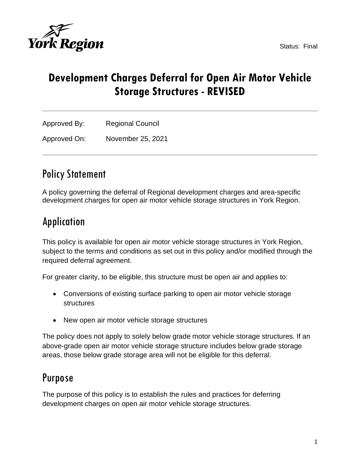



## **Development Charges Deferral for Open Air Motor Vehicle Storage Structures - REVISED**

Approved By: Regional Council

Approved On: November 25, 2021

## Policy Statement

A policy governing the deferral of Regional development charges and area-specific development charges for open air motor vehicle storage structures in York Region.

## Application

This policy is available for open air motor vehicle storage structures in York Region, subject to the terms and conditions as set out in this policy and/or modified through the required deferral agreement.

For greater clarity, to be eligible, this structure must be open air and applies to:

- Conversions of existing surface parking to open air motor vehicle storage structures
- New open air motor vehicle storage structures

The policy does not apply to solely below grade motor vehicle storage structures. If an above-grade open air motor vehicle storage structure includes below grade storage areas, those below grade storage area will not be eligible for this deferral.

## Purpose

The purpose of this policy is to establish the rules and practices for deferring development charges on open air motor vehicle storage structures.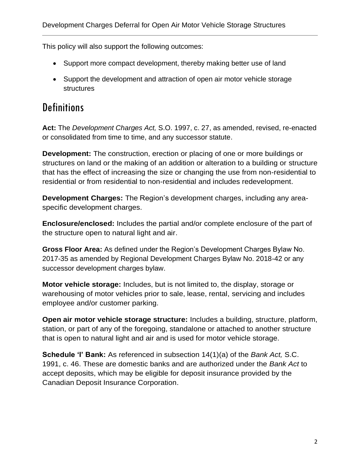This policy will also support the following outcomes:

- Support more compact development, thereby making better use of land
- Support the development and attraction of open air motor vehicle storage structures

## **Definitions**

**Act:** The *Development Charges Act,* S.O. 1997, c. 27, as amended, revised, re-enacted or consolidated from time to time, and any successor statute.

**Development:** The construction, erection or placing of one or more buildings or structures on land or the making of an addition or alteration to a building or structure that has the effect of increasing the size or changing the use from non-residential to residential or from residential to non-residential and includes redevelopment.

**Development Charges:** The Region's development charges, including any areaspecific development charges.

**Enclosure/enclosed:** Includes the partial and/or complete enclosure of the part of the structure open to natural light and air.

**Gross Floor Area:** As defined under the Region's Development Charges Bylaw No. 2017-35 as amended by Regional Development Charges Bylaw No. 2018-42 or any successor development charges bylaw.

**Motor vehicle storage:** Includes, but is not limited to, the display, storage or warehousing of motor vehicles prior to sale, lease, rental, servicing and includes employee and/or customer parking.

**Open air motor vehicle storage structure:** Includes a building, structure, platform, station, or part of any of the foregoing, standalone or attached to another structure that is open to natural light and air and is used for motor vehicle storage.

**Schedule 'I' Bank:** As referenced in subsection 14(1)(a) of the *Bank Act,* S.C. 1991, c. 46. These are domestic banks and are authorized under the *Bank Act* to accept deposits, which may be eligible for deposit insurance provided by the Canadian Deposit Insurance Corporation.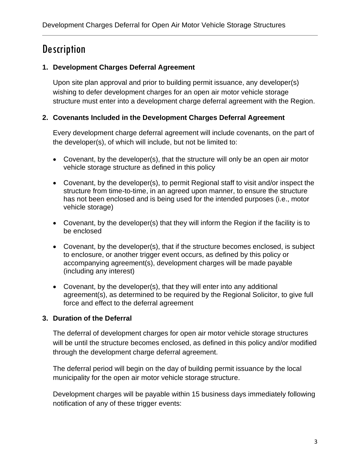## **Description**

## **1. Development Charges Deferral Agreement**

Upon site plan approval and prior to building permit issuance, any developer(s) wishing to defer development charges for an open air motor vehicle storage structure must enter into a development charge deferral agreement with the Region.

## **2. Covenants Included in the Development Charges Deferral Agreement**

Every development charge deferral agreement will include covenants, on the part of the developer(s), of which will include, but not be limited to:

- Covenant, by the developer(s), that the structure will only be an open air motor vehicle storage structure as defined in this policy
- Covenant, by the developer(s), to permit Regional staff to visit and/or inspect the structure from time-to-time, in an agreed upon manner, to ensure the structure has not been enclosed and is being used for the intended purposes (i.e., motor vehicle storage)
- Covenant, by the developer(s) that they will inform the Region if the facility is to be enclosed
- Covenant, by the developer(s), that if the structure becomes enclosed, is subject to enclosure, or another trigger event occurs, as defined by this policy or accompanying agreement(s), development charges will be made payable (including any interest)
- Covenant, by the developer(s), that they will enter into any additional agreement(s), as determined to be required by the Regional Solicitor, to give full force and effect to the deferral agreement

## **3. Duration of the Deferral**

The deferral of development charges for open air motor vehicle storage structures will be until the structure becomes enclosed, as defined in this policy and/or modified through the development charge deferral agreement.

The deferral period will begin on the day of building permit issuance by the local municipality for the open air motor vehicle storage structure.

Development charges will be payable within 15 business days immediately following notification of any of these trigger events: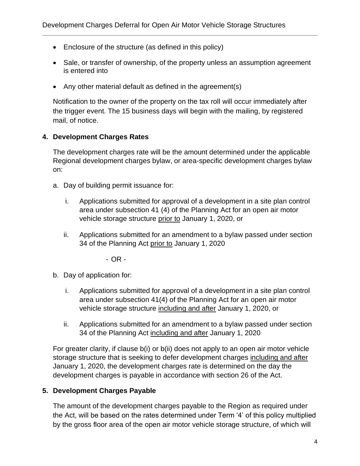- Enclosure of the structure (as defined in this policy)
- Sale, or transfer of ownership, of the property unless an assumption agreement is entered into
- Any other material default as defined in the agreement(s)

Notification to the owner of the property on the tax roll will occur immediately after the trigger event. The 15 business days will begin with the mailing, by registered mail, of notice.

### **4. Development Charges Rates**

The development charges rate will be the amount determined under the applicable Regional development charges bylaw, or area-specific development charges bylaw on:

- a. Day of building permit issuance for:
	- i. Applications submitted for approval of a development in a site plan control area under subsection 41 (4) of the Planning Act for an open air motor vehicle storage structure prior to January 1, 2020, or
	- ii. Applications submitted for an amendment to a bylaw passed under section 34 of the Planning Act prior to January 1, 2020

- OR -

- b. Day of application for:
	- i. Applications submitted for approval of a development in a site plan control area under subsection 41(4) of the Planning Act for an open air motor vehicle storage structure including and after January 1, 2020, or
	- ii. Applications submitted for an amendment to a bylaw passed under section 34 of the Planning Act including and after January 1, 2020

For greater clarity, if clause b(i) or b(ii) does not apply to an open air motor vehicle storage structure that is seeking to defer development charges including and after January 1, 2020, the development charges rate is determined on the day the development charges is payable in accordance with section 26 of the Act.

## **5. Development Charges Payable**

The amount of the development charges payable to the Region as required under the Act, will be based on the rates determined under Term '4' of this policy multiplied by the gross floor area of the open air motor vehicle storage structure, of which will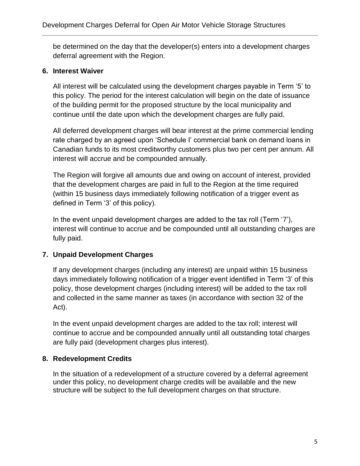be determined on the day that the developer(s) enters into a development charges deferral agreement with the Region.

#### **6. Interest Waiver**

All interest will be calculated using the development charges payable in Term '5' to this policy. The period for the interest calculation will begin on the date of issuance of the building permit for the proposed structure by the local municipality and continue until the date upon which the development charges are fully paid.

All deferred development charges will bear interest at the prime commercial lending rate charged by an agreed upon 'Schedule I' commercial bank on demand loans in Canadian funds to its most creditworthy customers plus two per cent per annum. All interest will accrue and be compounded annually.

The Region will forgive all amounts due and owing on account of interest, provided that the development charges are paid in full to the Region at the time required (within 15 business days immediately following notification of a trigger event as defined in Term '3' of this policy).

In the event unpaid development charges are added to the tax roll (Term '7'), interest will continue to accrue and be compounded until all outstanding charges are fully paid.

## **7. Unpaid Development Charges**

If any development charges (including any interest) are unpaid within 15 business days immediately following notification of a trigger event identified in Term '3' of this policy, those development charges (including interest) will be added to the tax roll and collected in the same manner as taxes (in accordance with section 32 of the Act).

In the event unpaid development charges are added to the tax roll; interest will continue to accrue and be compounded annually until all outstanding total charges are fully paid (development charges plus interest).

## **8. Redevelopment Credits**

In the situation of a redevelopment of a structure covered by a deferral agreement under this policy, no development charge credits will be available and the new structure will be subject to the full development charges on that structure.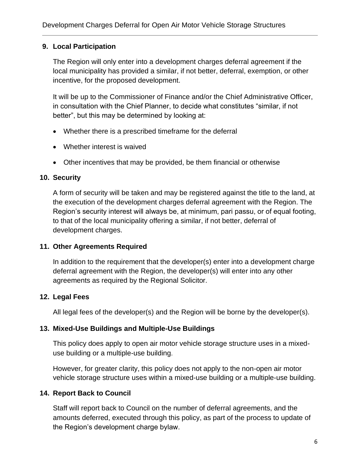#### **9. Local Participation**

The Region will only enter into a development charges deferral agreement if the local municipality has provided a similar, if not better, deferral, exemption, or other incentive, for the proposed development.

It will be up to the Commissioner of Finance and/or the Chief Administrative Officer, in consultation with the Chief Planner, to decide what constitutes "similar, if not better", but this may be determined by looking at:

- Whether there is a prescribed timeframe for the deferral
- Whether interest is waived
- Other incentives that may be provided, be them financial or otherwise

### **10. Security**

A form of security will be taken and may be registered against the title to the land, at the execution of the development charges deferral agreement with the Region. The Region's security interest will always be, at minimum, pari passu, or of equal footing, to that of the local municipality offering a similar, if not better, deferral of development charges.

#### **11. Other Agreements Required**

In addition to the requirement that the developer(s) enter into a development charge deferral agreement with the Region, the developer(s) will enter into any other agreements as required by the Regional Solicitor.

## **12. Legal Fees**

All legal fees of the developer(s) and the Region will be borne by the developer(s).

#### **13. Mixed-Use Buildings and Multiple-Use Buildings**

This policy does apply to open air motor vehicle storage structure uses in a mixeduse building or a multiple-use building.

However, for greater clarity, this policy does not apply to the non-open air motor vehicle storage structure uses within a mixed-use building or a multiple-use building.

## **14. Report Back to Council**

Staff will report back to Council on the number of deferral agreements, and the amounts deferred, executed through this policy, as part of the process to update of the Region's development charge bylaw.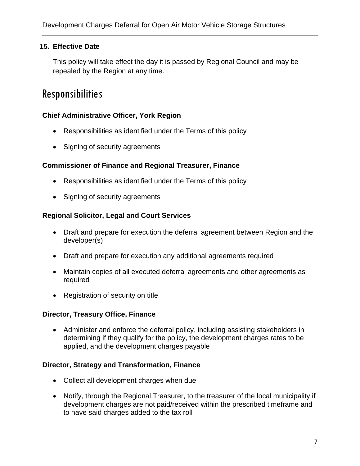### **15. Effective Date**

This policy will take effect the day it is passed by Regional Council and may be repealed by the Region at any time.

## Responsibilities

#### **Chief Administrative Officer, York Region**

- Responsibilities as identified under the Terms of this policy
- Signing of security agreements

#### **Commissioner of Finance and Regional Treasurer, Finance**

- Responsibilities as identified under the Terms of this policy
- Signing of security agreements

#### **Regional Solicitor, Legal and Court Services**

- Draft and prepare for execution the deferral agreement between Region and the developer(s)
- Draft and prepare for execution any additional agreements required
- Maintain copies of all executed deferral agreements and other agreements as required
- Registration of security on title

#### **Director, Treasury Office, Finance**

• Administer and enforce the deferral policy, including assisting stakeholders in determining if they qualify for the policy, the development charges rates to be applied, and the development charges payable

#### **Director, Strategy and Transformation, Finance**

- Collect all development charges when due
- Notify, through the Regional Treasurer, to the treasurer of the local municipality if development charges are not paid/received within the prescribed timeframe and to have said charges added to the tax roll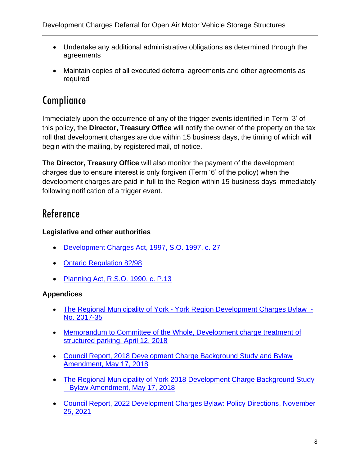- Undertake any additional administrative obligations as determined through the agreements
- Maintain copies of all executed deferral agreements and other agreements as required

# Compliance

Immediately upon the occurrence of any of the trigger events identified in Term '3' of this policy, the **Director, Treasury Office** will notify the owner of the property on the tax roll that development charges are due within 15 business days, the timing of which will begin with the mailing, by registered mail, of notice.

The **Director, Treasury Office** will also monitor the payment of the development charges due to ensure interest is only forgiven (Term '6' of the policy) when the development charges are paid in full to the Region within 15 business days immediately following notification of a trigger event.

# Reference

## **Legislative and other authorities**

- [Development Charges Act, 1997, S.O. 1997, c. 27](https://www.ontario.ca/laws/statute/97d27)
- [Ontario Regulation 82/98](https://www.ontario.ca/laws/regulation/980082)
- [Planning Act, R.S.O. 1990, c. P.13](https://www.ontario.ca/laws/statute/90p13)

## **Appendices**

- The Regional Municipality of York [York Region Development Charges Bylaw -](http://www.york.ca/wps/portal/yorkhome/yorkregion/yr/bylaws/developmentchargesbylaw/!ut/p/a1/rVRNT4NAEP0tHnokO3xsWY4raoGm1FiNwKUBypctH4W1ir_eLfVk0mLN7m1m37y8N5M8FCAPBVV4KLKQFXUV7o51MF3bdGZb1hycpUZMoLCkjqITIHOdA3wOgDOPwjCvKNrUkk1wwFoSsB_0R3xHLBnmCnpFAQriijUsR37fruO6YknFJtDX7ZYXHSvY-9DI6zI5tdsk4-omEPW78KObwCY5JLu6KTkszsM2S7rh58jcxMUG-bGBYyONsKSSqSppKYkkI4qxhA1jE2E9xLom_zi5IHVkE4OTkV1c3IaJRwBcg89F6mdVrGS0utL1CKEumFBRRBNi0YSiLdv_PYpjgylTTjhT71Wgim2SW9UhrguiFaqCCanoK1PRlun1V3b-EIVKuzAXGacNWS4VVVoj7xRSyDsXUnyqeNvvA8pj8Jh9nwx5gnOwKV9KovbS9omAipvD13NalmvXlcLoVyPwSUdvvgFUm5Ae/dl5/d5/L2dBISEvZ0FBIS9nQSEh/#.WtDgaS7wZhG) [No. 2017-35](http://www.york.ca/wps/portal/yorkhome/yorkregion/yr/bylaws/developmentchargesbylaw/!ut/p/a1/rVRNT4NAEP0tHnokO3xsWY4raoGm1FiNwKUBypctH4W1ir_eLfVk0mLN7m1m37y8N5M8FCAPBVV4KLKQFXUV7o51MF3bdGZb1hycpUZMoLCkjqITIHOdA3wOgDOPwjCvKNrUkk1wwFoSsB_0R3xHLBnmCnpFAQriijUsR37fruO6YknFJtDX7ZYXHSvY-9DI6zI5tdsk4-omEPW78KObwCY5JLu6KTkszsM2S7rh58jcxMUG-bGBYyONsKSSqSppKYkkI4qxhA1jE2E9xLom_zi5IHVkE4OTkV1c3IaJRwBcg89F6mdVrGS0utL1CKEumFBRRBNi0YSiLdv_PYpjgylTTjhT71Wgim2SW9UhrguiFaqCCanoK1PRlun1V3b-EIVKuzAXGacNWS4VVVoj7xRSyDsXUnyqeNvvA8pj8Jh9nwx5gnOwKV9KovbS9omAipvD13NalmvXlcLoVyPwSUdvvgFUm5Ae/dl5/d5/L2dBISEvZ0FBIS9nQSEh/#.WtDgaS7wZhG)
- [Memorandum to Committee of the Whole, Development charge treatment of](http://www.york.ca/wps/wcm/connect/yorkpublic/ce557205-7dda-4789-9ecf-ffce1a7db830/apr+12+hughes.pdf?MOD=AJPERES)  [structured parking, April 12, 2018](http://www.york.ca/wps/wcm/connect/yorkpublic/ce557205-7dda-4789-9ecf-ffce1a7db830/apr+12+hughes.pdf?MOD=AJPERES)
- [Council Report, 2018 Development Charge Background Study and Bylaw](http://www.york.ca/wps/wcm/connect/yorkpublic/342a3b73-4437-43b1-b5d7-ca5324639ef3/may+10+DC.pdf?MOD=AJPERES)  [Amendment, May 17, 2018](http://www.york.ca/wps/wcm/connect/yorkpublic/342a3b73-4437-43b1-b5d7-ca5324639ef3/may+10+DC.pdf?MOD=AJPERES)
- The Regional Municipality of York 2018 Development Charge Background Study – [Bylaw Amendment, May 17, 2018](https://www.york.ca/wps/wcm/connect/yorkpublic/342a3b73-4437-43b1-b5d7-ca5324639ef3/may+10+DC+ex.pdf?MOD=AJPERES&CVID=mu8ACDe)
- [Council Report, 2022 Development Charges Bylaw: Policy Directions, November](https://yorkpublishing.escribemeetings.com/Meeting.aspx?Id=228608f4-d57d-485a-a462-b12bec2e4b08&Agenda=PostMinutes&lang=English&Item=39&Tab=attachments)  [25, 2021](https://yorkpublishing.escribemeetings.com/Meeting.aspx?Id=228608f4-d57d-485a-a462-b12bec2e4b08&Agenda=PostMinutes&lang=English&Item=39&Tab=attachments)